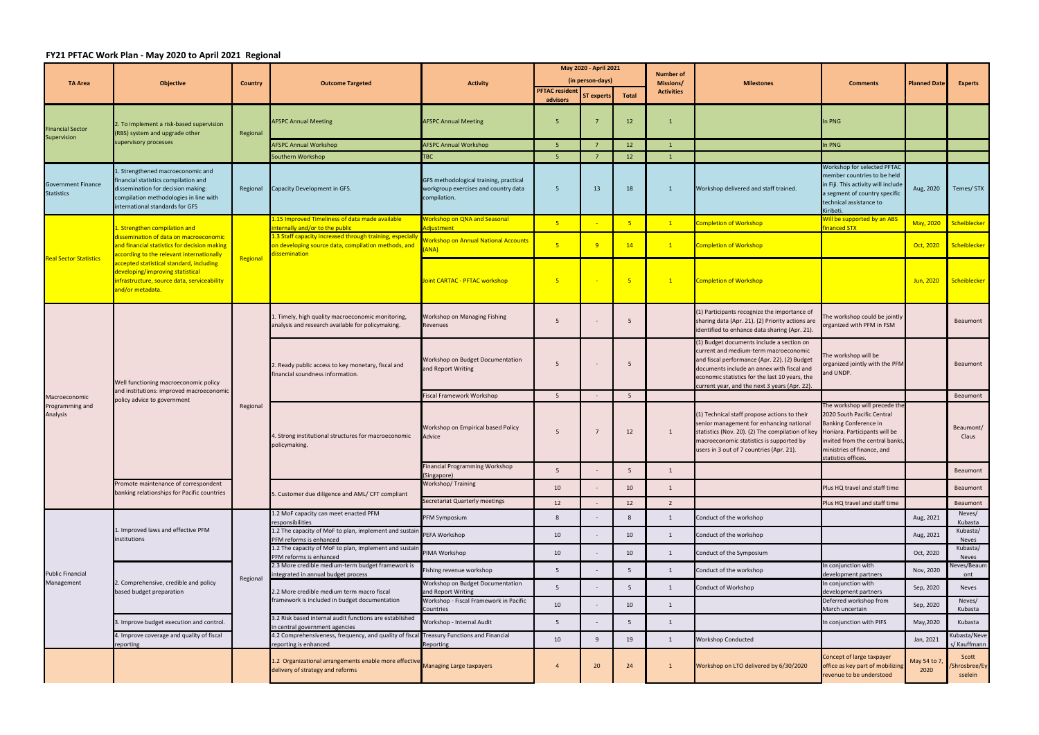## **FY21 PFTAC Work Plan ‐ May 2020 to April 2021 Regional**

|                                                | <b>Objective</b>                                                                                                                                                                                                                                                                                                        |                | <b>Outcome Targeted</b>                                                                                                                                                                                        | <b>Activity</b>                                                                                | May 2020 - April 2021 |                   |                 | Number of<br>Missions/ | <b>Milestones</b>                                                                                                                                                                                                                                                                   | <b>Comments</b>                                                                                                                                                                                                      | <b>Planned Date</b>  | <b>Experts</b>                    |
|------------------------------------------------|-------------------------------------------------------------------------------------------------------------------------------------------------------------------------------------------------------------------------------------------------------------------------------------------------------------------------|----------------|----------------------------------------------------------------------------------------------------------------------------------------------------------------------------------------------------------------|------------------------------------------------------------------------------------------------|-----------------------|-------------------|-----------------|------------------------|-------------------------------------------------------------------------------------------------------------------------------------------------------------------------------------------------------------------------------------------------------------------------------------|----------------------------------------------------------------------------------------------------------------------------------------------------------------------------------------------------------------------|----------------------|-----------------------------------|
| <b>TA Area</b>                                 |                                                                                                                                                                                                                                                                                                                         | <b>Country</b> |                                                                                                                                                                                                                |                                                                                                | (in person-days)      |                   |                 |                        |                                                                                                                                                                                                                                                                                     |                                                                                                                                                                                                                      |                      |                                   |
|                                                |                                                                                                                                                                                                                                                                                                                         |                |                                                                                                                                                                                                                |                                                                                                | <b>PFTAC resident</b> | <b>ST experts</b> | Total           | <b>Activities</b>      |                                                                                                                                                                                                                                                                                     |                                                                                                                                                                                                                      |                      |                                   |
|                                                |                                                                                                                                                                                                                                                                                                                         |                |                                                                                                                                                                                                                |                                                                                                | advisors              |                   |                 |                        |                                                                                                                                                                                                                                                                                     |                                                                                                                                                                                                                      |                      |                                   |
| Financial Sector<br>Supervision                | 2. To implement a risk-based supervision<br>(RBS) system and upgrade other<br>supervisory processes                                                                                                                                                                                                                     | Regional       | <b>AFSPC Annual Meeting</b>                                                                                                                                                                                    | <b>AFSPC Annual Meeting</b>                                                                    | -5                    |                   | 12              |                        |                                                                                                                                                                                                                                                                                     | In PNG                                                                                                                                                                                                               |                      |                                   |
|                                                |                                                                                                                                                                                                                                                                                                                         |                | <b>AFSPC Annual Workshop</b>                                                                                                                                                                                   | <b>AFSPC Annual Workshop</b>                                                                   | -5                    |                   | 12              |                        |                                                                                                                                                                                                                                                                                     | In PNG                                                                                                                                                                                                               |                      |                                   |
|                                                |                                                                                                                                                                                                                                                                                                                         |                | Southern Workshop                                                                                                                                                                                              | <b>TBC</b>                                                                                     | -5                    | -7                | 12              | $\overline{1}$         |                                                                                                                                                                                                                                                                                     |                                                                                                                                                                                                                      |                      |                                   |
| <b>Government Finance</b><br><b>Statistics</b> | I. Strengthened macroeconomic and<br>inancial statistics compilation and<br>dissemination for decision making:<br>compilation methodologies in line with<br>nternational standards for GFS                                                                                                                              | Regional       | Capacity Development in GFS.                                                                                                                                                                                   | GFS methodological training, practical<br>workgroup exercises and country data<br>compilation. | $5^{\circ}$           | 13                | 18              |                        | Workshop delivered and staff trained.                                                                                                                                                                                                                                               | Workshop for selected PFTAC<br>member countries to be held<br>in Fiji. This activity will include<br>a segment of country specific<br>technical assistance to<br>Kiribati.                                           | Aug, 2020            | Temes/ STX                        |
|                                                | 1. Strengthen compilation and<br>dissemination of data on macroeconomic<br>and financial statistics for decision making<br>according to the relevant internationally<br>accepted statistical standard, including<br>developing/improving statistical<br>infrastructure, source data, serviceability<br>and/or metadata. |                | 1.15 Improved Timeliness of data made available<br>internally and/or to the public                                                                                                                             | <b>Workshop on QNA and Seasonal</b><br>Adjustment                                              | $-5$                  |                   | -5              | $\mathbf{1}$           | Completion of Workshop                                                                                                                                                                                                                                                              | Will be supported by an ABS<br>inanced STX                                                                                                                                                                           | May, 2020            | Scheiblecker                      |
| <b>Real Sector Statistics</b>                  |                                                                                                                                                                                                                                                                                                                         | Regional       | 1.3 Staff capacity increased through training, especially<br>on developing source data, compilation methods, and<br>dissemination                                                                              | <b>Vorkshop on Annual National Accounts</b><br>ANA)                                            | $-5$                  | ۰q                | 14              | $\mathbf{1}$           | <b>Completion of Workshop</b>                                                                                                                                                                                                                                                       |                                                                                                                                                                                                                      | Oct, 2020            | Scheiblecker                      |
|                                                |                                                                                                                                                                                                                                                                                                                         |                |                                                                                                                                                                                                                | Joint CARTAC - PFTAC workshop                                                                  | -5                    |                   |                 | $\mathbf{1}$           | <b>Completion of Workshop</b>                                                                                                                                                                                                                                                       |                                                                                                                                                                                                                      | Jun, 2020            | Scheiblecker                      |
|                                                | Well functioning macroeconomic policy<br>and institutions: improved macroeconomic<br>policy advice to government                                                                                                                                                                                                        | Regional       | 1. Timely, high quality macroeconomic monitoring,<br>analysis and research available for policymaking.                                                                                                         | <b>Workshop on Managing Fishing</b><br>Revenues                                                | 5                     |                   | - 5             |                        | (1) Participants recognize the importance of<br>sharing data (Apr. 21). (2) Priority actions are<br>identified to enhance data sharing (Apr. 21).                                                                                                                                   | he workshop could be jointly<br>organized with PFM in FSM                                                                                                                                                            |                      | Beaumont                          |
|                                                |                                                                                                                                                                                                                                                                                                                         |                | 2. Ready public access to key monetary, fiscal and<br>financial soundness information.                                                                                                                         | Workshop on Budget Documentation<br>and Report Writing                                         | 5                     |                   | 5               |                        | (1) Budget documents include a section on<br>current and medium-term macroeconomic<br>and fiscal performance (Apr. 22). (2) Budget<br>documents include an annex with fiscal and<br>economic statistics for the last 10 years, the<br>current year, and the next 3 years (Apr. 22). | he workshop will be<br>organized jointly with the PFM<br>and UNDP.                                                                                                                                                   |                      | Beaumont                          |
| Macroeconomic                                  |                                                                                                                                                                                                                                                                                                                         |                |                                                                                                                                                                                                                | Fiscal Framework Workshop                                                                      | 5                     |                   | $5\overline{5}$ |                        |                                                                                                                                                                                                                                                                                     |                                                                                                                                                                                                                      |                      | Beaumont                          |
| Programming and<br>Analysis                    |                                                                                                                                                                                                                                                                                                                         |                | 4. Strong institutional structures for macroeconomic<br>policymaking.                                                                                                                                          | Workshop on Empirical based Policy<br>Advice                                                   | 5                     |                   | 12              |                        | (1) Technical staff propose actions to their<br>senior management for enhancing national<br>statistics (Nov. 20). (2) The compilation of key<br>macroeconomic statistics is supported by<br>users in 3 out of 7 countries (Apr. 21).                                                | The workshop will precede the<br>2020 South Pacific Central<br><b>Banking Conference in</b><br>Honiara. Participants will be<br>invited from the central banks,<br>ministries of finance, and<br>statistics offices. |                      | Beaumont/<br>Claus                |
|                                                |                                                                                                                                                                                                                                                                                                                         |                |                                                                                                                                                                                                                | inancial Programming Workshop<br>Singapore)                                                    | 5                     |                   | -5              | $\overline{1}$         |                                                                                                                                                                                                                                                                                     |                                                                                                                                                                                                                      |                      | Beaumont                          |
|                                                | Promote maintenance of correspondent<br>banking relationships for Pacific countries                                                                                                                                                                                                                                     |                | 5. Customer due diligence and AML/ CFT compliant                                                                                                                                                               | Workshop/Training                                                                              | 10                    |                   | 10              | 1                      |                                                                                                                                                                                                                                                                                     | Plus HQ travel and staff time                                                                                                                                                                                        |                      | Beaumont                          |
|                                                |                                                                                                                                                                                                                                                                                                                         |                |                                                                                                                                                                                                                | Secretariat Quarterly meetings                                                                 | 12                    |                   | 12              | $\overline{2}$         |                                                                                                                                                                                                                                                                                     | Plus HQ travel and staff time                                                                                                                                                                                        |                      | Beaumont                          |
|                                                | Improved laws and effective PFM<br>nstitutions                                                                                                                                                                                                                                                                          |                | 1.2 MoF capacity can meet enacted PFM                                                                                                                                                                          | PFM Symposium                                                                                  | 8                     |                   | 8               | 1                      | Conduct of the workshop                                                                                                                                                                                                                                                             |                                                                                                                                                                                                                      | Aug, 2021            | Neves/                            |
| <b>Public Financial</b><br>Management          |                                                                                                                                                                                                                                                                                                                         |                | responsibilities<br>1.2 The capacity of MoF to plan, implement and sustain                                                                                                                                     | PEFA Workshop                                                                                  | 10                    |                   | 10              | 1                      | Conduct of the workshop                                                                                                                                                                                                                                                             |                                                                                                                                                                                                                      | Aug, 2021            | Kubasta<br>Kubasta/               |
|                                                |                                                                                                                                                                                                                                                                                                                         | Regional       | PFM reforms is enhanced<br>1.2 The capacity of MoF to plan, implement and sustain<br>PFM reforms is enhanced                                                                                                   | PIMA Workshop                                                                                  | 10                    |                   | 10              | 1                      | Conduct of the Symposium                                                                                                                                                                                                                                                            |                                                                                                                                                                                                                      | Oct, 2020            | Neves<br>Kubasta/<br><b>Neves</b> |
|                                                | 2. Comprehensive, credible and policy<br>based budget preparation                                                                                                                                                                                                                                                       |                | 2.3 More credible medium-term budget framework is<br>integrated in annual budget process                                                                                                                       | Fishing revenue workshop                                                                       | -5                    |                   | 5               | 1                      | Conduct of the workshop                                                                                                                                                                                                                                                             | n conjunction with<br>development partners                                                                                                                                                                           | Nov, 2020            | <b>Neves/Beaum</b><br>ont         |
|                                                |                                                                                                                                                                                                                                                                                                                         |                | 2.2 More credible medium term macro fiscal<br>framework is included in budget documentation                                                                                                                    | Workshop on Budget Documentation<br>and Report Writing                                         | 5                     |                   | 5               | 1                      | Conduct of Workshop                                                                                                                                                                                                                                                                 | In conjunction with<br>development partners                                                                                                                                                                          | Sep, 2020            | Neves                             |
|                                                |                                                                                                                                                                                                                                                                                                                         |                |                                                                                                                                                                                                                | Workshop - Fiscal Framework in Pacific<br>Countries                                            | 10                    |                   | 10              | 1                      |                                                                                                                                                                                                                                                                                     | Deferred workshop from<br>March uncertain                                                                                                                                                                            | Sep, 2020            | Neves/<br>Kubasta                 |
|                                                | 3. Improve budget execution and control.                                                                                                                                                                                                                                                                                |                | 3.2 Risk based internal audit functions are established<br>in central government agencies<br>4.2 Comprehensiveness, frequency, and quality of fiscal Treasury Functions and Financial<br>reporting is enhanced | Workshop - Internal Audit                                                                      | -5                    |                   | - 5             | 1                      |                                                                                                                                                                                                                                                                                     | In conjunction with PIFS                                                                                                                                                                                             | May, 2020            | Kubasta                           |
|                                                | 4. Improve coverage and quality of fiscal<br>reporting                                                                                                                                                                                                                                                                  |                |                                                                                                                                                                                                                | Reporting                                                                                      | 10                    | 9                 | 19              | 1                      | <b>Workshop Conducted</b>                                                                                                                                                                                                                                                           |                                                                                                                                                                                                                      | Jan, 2021            | ubasta/Neve<br>s/ Kauffmann       |
|                                                |                                                                                                                                                                                                                                                                                                                         |                | 1.2 Organizational arrangements enable more effective Managing Large taxpayers<br>delivery of strategy and reforms                                                                                             |                                                                                                | $\overline{4}$        | 20                | 24              |                        | Workshop on LTO delivered by 6/30/2020                                                                                                                                                                                                                                              | Concept of large taxpayer<br>office as key part of mobilizing<br>revenue to be understood                                                                                                                            | May 54 to 7,<br>2020 | Scott<br>/Shrosbree/Ey<br>sselein |